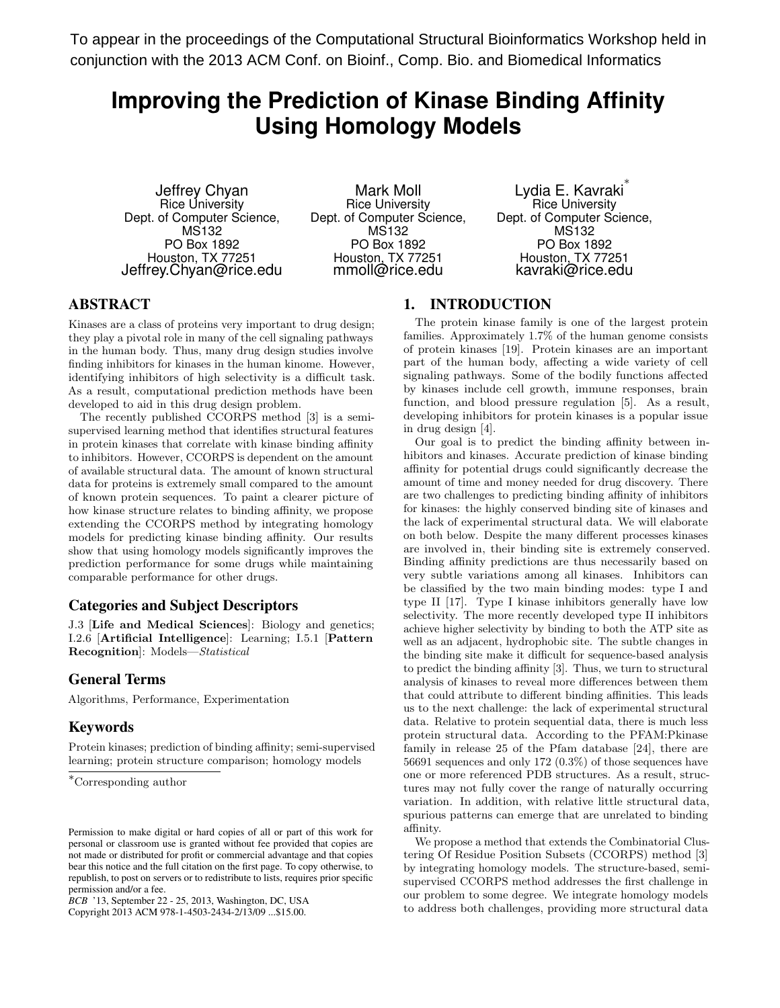To appear in the proceedings of the Computational Structural Bioinformatics Workshop held in conjunction with the 2013 ACM Conf. on Bioinf., Comp. Bio. and Biomedical Informatics

# **Improving the Prediction of Kinase Binding Affinity Using Homology Models**

Jeffrey Chyan Rice University Dept. of Computer Science, MS132 PO Box 1892 Houston, TX 77251 Jeffrey.Chyan@rice.edu

Mark Moll Rice University Dept. of Computer Science, MS132 PO Box 1892 Houston, TX 77251 mmoll@rice.edu

Lydia E. Kavraki<sup>\*</sup> Rice University Dept. of Computer Science, MS132 PO Box 1892 Houston, TX 77251 kavraki@rice.edu

# ABSTRACT

Kinases are a class of proteins very important to drug design; they play a pivotal role in many of the cell signaling pathways in the human body. Thus, many drug design studies involve finding inhibitors for kinases in the human kinome. However, identifying inhibitors of high selectivity is a difficult task. As a result, computational prediction methods have been developed to aid in this drug design problem.

The recently published CCORPS method [3] is a semisupervised learning method that identifies structural features in protein kinases that correlate with kinase binding affinity to inhibitors. However, CCORPS is dependent on the amount of available structural data. The amount of known structural data for proteins is extremely small compared to the amount of known protein sequences. To paint a clearer picture of how kinase structure relates to binding affinity, we propose extending the CCORPS method by integrating homology models for predicting kinase binding affinity. Our results show that using homology models significantly improves the prediction performance for some drugs while maintaining comparable performance for other drugs.

# Categories and Subject Descriptors

J.3 [Life and Medical Sciences]: Biology and genetics; I.2.6 [Artificial Intelligence]: Learning; I.5.1 [Pattern Recognition]: Models—Statistical

# General Terms

Algorithms, Performance, Experimentation

## Keywords

Protein kinases; prediction of binding affinity; semi-supervised learning; protein structure comparison; homology models

Copyright 2013 ACM 978-1-4503-2434-2/13/09 ...\$15.00.

# 1. INTRODUCTION

The protein kinase family is one of the largest protein families. Approximately 1.7% of the human genome consists of protein kinases [19]. Protein kinases are an important part of the human body, affecting a wide variety of cell signaling pathways. Some of the bodily functions affected by kinases include cell growth, immune responses, brain function, and blood pressure regulation [5]. As a result, developing inhibitors for protein kinases is a popular issue in drug design [4].

Our goal is to predict the binding affinity between inhibitors and kinases. Accurate prediction of kinase binding affinity for potential drugs could significantly decrease the amount of time and money needed for drug discovery. There are two challenges to predicting binding affinity of inhibitors for kinases: the highly conserved binding site of kinases and the lack of experimental structural data. We will elaborate on both below. Despite the many different processes kinases are involved in, their binding site is extremely conserved. Binding affinity predictions are thus necessarily based on very subtle variations among all kinases. Inhibitors can be classified by the two main binding modes: type I and type II [17]. Type I kinase inhibitors generally have low selectivity. The more recently developed type II inhibitors achieve higher selectivity by binding to both the ATP site as well as an adjacent, hydrophobic site. The subtle changes in the binding site make it difficult for sequence-based analysis to predict the binding affinity [3]. Thus, we turn to structural analysis of kinases to reveal more differences between them that could attribute to different binding affinities. This leads us to the next challenge: the lack of experimental structural data. Relative to protein sequential data, there is much less protein structural data. According to the PFAM:Pkinase family in release 25 of the Pfam database [24], there are 56691 sequences and only 172 (0.3%) of those sequences have one or more referenced PDB structures. As a result, structures may not fully cover the range of naturally occurring variation. In addition, with relative little structural data, spurious patterns can emerge that are unrelated to binding affinity.

We propose a method that extends the Combinatorial Clustering Of Residue Position Subsets (CCORPS) method [3] by integrating homology models. The structure-based, semisupervised CCORPS method addresses the first challenge in our problem to some degree. We integrate homology models to address both challenges, providing more structural data

<sup>∗</sup>Corresponding author

Permission to make digital or hard copies of all or part of this work for personal or classroom use is granted without fee provided that copies are not made or distributed for profit or commercial advantage and that copies bear this notice and the full citation on the first page. To copy otherwise, to republish, to post on servers or to redistribute to lists, requires prior specific permission and/or a fee.

*BCB* '13, September 22 - 25, 2013, Washington, DC, USA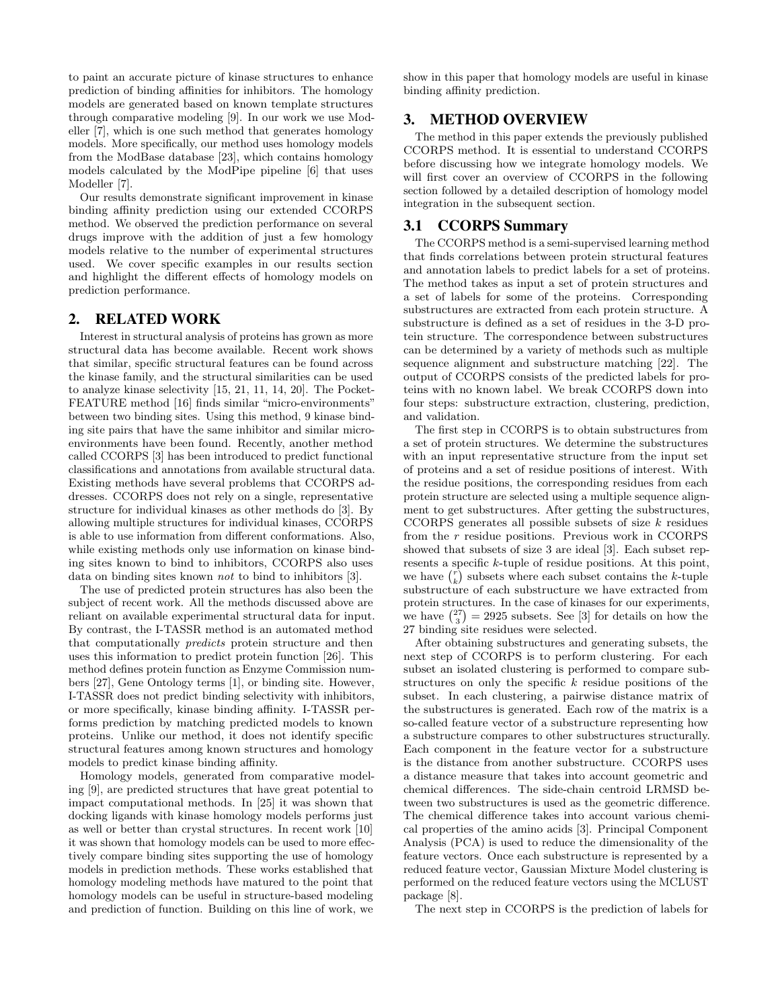to paint an accurate picture of kinase structures to enhance prediction of binding affinities for inhibitors. The homology models are generated based on known template structures through comparative modeling [9]. In our work we use Modeller [7], which is one such method that generates homology models. More specifically, our method uses homology models from the ModBase database [23], which contains homology models calculated by the ModPipe pipeline [6] that uses Modeller [7].

Our results demonstrate significant improvement in kinase binding affinity prediction using our extended CCORPS method. We observed the prediction performance on several drugs improve with the addition of just a few homology models relative to the number of experimental structures used. We cover specific examples in our results section and highlight the different effects of homology models on prediction performance.

## 2. RELATED WORK

Interest in structural analysis of proteins has grown as more structural data has become available. Recent work shows that similar, specific structural features can be found across the kinase family, and the structural similarities can be used to analyze kinase selectivity [15, 21, 11, 14, 20]. The Pocket-FEATURE method [16] finds similar "micro-environments" between two binding sites. Using this method, 9 kinase binding site pairs that have the same inhibitor and similar microenvironments have been found. Recently, another method called CCORPS [3] has been introduced to predict functional classifications and annotations from available structural data. Existing methods have several problems that CCORPS addresses. CCORPS does not rely on a single, representative structure for individual kinases as other methods do [3]. By allowing multiple structures for individual kinases, CCORPS is able to use information from different conformations. Also, while existing methods only use information on kinase binding sites known to bind to inhibitors, CCORPS also uses data on binding sites known not to bind to inhibitors [3].

The use of predicted protein structures has also been the subject of recent work. All the methods discussed above are reliant on available experimental structural data for input. By contrast, the I-TASSR method is an automated method that computationally predicts protein structure and then uses this information to predict protein function [26]. This method defines protein function as Enzyme Commission numbers [27], Gene Ontology terms [1], or binding site. However, I-TASSR does not predict binding selectivity with inhibitors, or more specifically, kinase binding affinity. I-TASSR performs prediction by matching predicted models to known proteins. Unlike our method, it does not identify specific structural features among known structures and homology models to predict kinase binding affinity.

Homology models, generated from comparative modeling [9], are predicted structures that have great potential to impact computational methods. In [25] it was shown that docking ligands with kinase homology models performs just as well or better than crystal structures. In recent work [10] it was shown that homology models can be used to more effectively compare binding sites supporting the use of homology models in prediction methods. These works established that homology modeling methods have matured to the point that homology models can be useful in structure-based modeling and prediction of function. Building on this line of work, we show in this paper that homology models are useful in kinase binding affinity prediction.

### 3. METHOD OVERVIEW

The method in this paper extends the previously published CCORPS method. It is essential to understand CCORPS before discussing how we integrate homology models. We will first cover an overview of CCORPS in the following section followed by a detailed description of homology model integration in the subsequent section.

# 3.1 CCORPS Summary

The CCORPS method is a semi-supervised learning method that finds correlations between protein structural features and annotation labels to predict labels for a set of proteins. The method takes as input a set of protein structures and a set of labels for some of the proteins. Corresponding substructures are extracted from each protein structure. A substructure is defined as a set of residues in the 3-D protein structure. The correspondence between substructures can be determined by a variety of methods such as multiple sequence alignment and substructure matching [22]. The output of CCORPS consists of the predicted labels for proteins with no known label. We break CCORPS down into four steps: substructure extraction, clustering, prediction, and validation.

The first step in CCORPS is to obtain substructures from a set of protein structures. We determine the substructures with an input representative structure from the input set of proteins and a set of residue positions of interest. With the residue positions, the corresponding residues from each protein structure are selected using a multiple sequence alignment to get substructures. After getting the substructures, CCORPS generates all possible subsets of size  $k$  residues from the r residue positions. Previous work in CCORPS showed that subsets of size 3 are ideal [3]. Each subset represents a specific k-tuple of residue positions. At this point, we have  $\binom{r}{k}$  subsets where each subset contains the k-tuple substructure of each substructure we have extracted from protein structures. In the case of kinases for our experiments, we have  $\binom{27}{3} = 2925$  subsets. See [3] for details on how the 27 binding site residues were selected.

After obtaining substructures and generating subsets, the next step of CCORPS is to perform clustering. For each subset an isolated clustering is performed to compare substructures on only the specific  $k$  residue positions of the subset. In each clustering, a pairwise distance matrix of the substructures is generated. Each row of the matrix is a so-called feature vector of a substructure representing how a substructure compares to other substructures structurally. Each component in the feature vector for a substructure is the distance from another substructure. CCORPS uses a distance measure that takes into account geometric and chemical differences. The side-chain centroid LRMSD between two substructures is used as the geometric difference. The chemical difference takes into account various chemical properties of the amino acids [3]. Principal Component Analysis (PCA) is used to reduce the dimensionality of the feature vectors. Once each substructure is represented by a reduced feature vector, Gaussian Mixture Model clustering is performed on the reduced feature vectors using the MCLUST package [8].

The next step in CCORPS is the prediction of labels for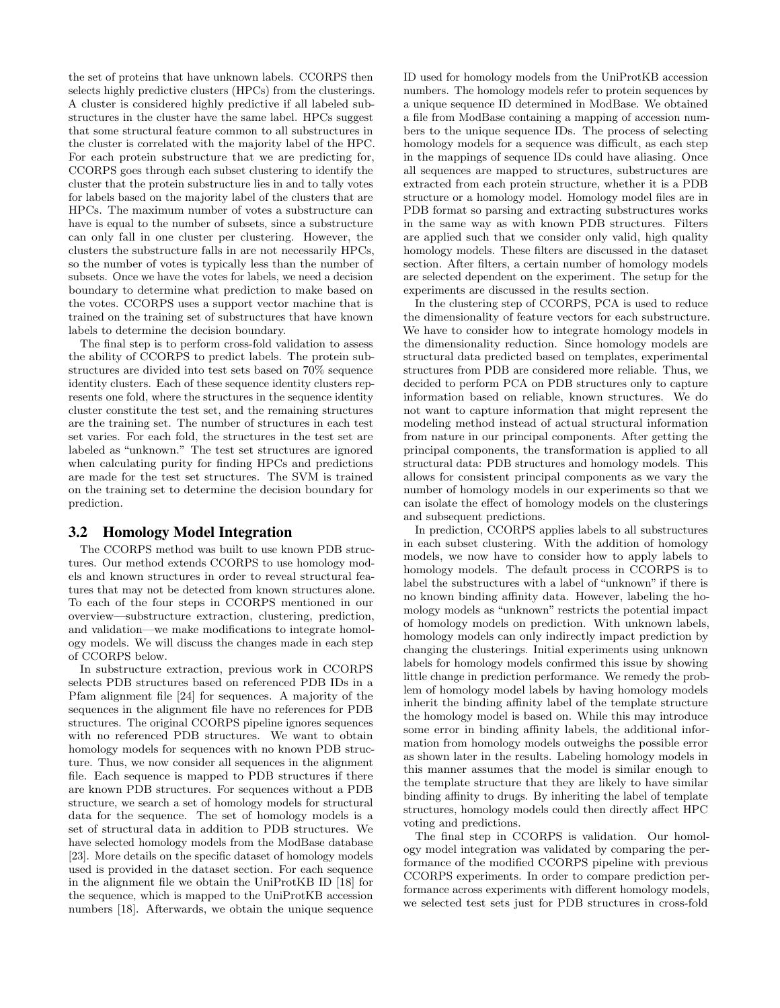the set of proteins that have unknown labels. CCORPS then selects highly predictive clusters (HPCs) from the clusterings. A cluster is considered highly predictive if all labeled substructures in the cluster have the same label. HPCs suggest that some structural feature common to all substructures in the cluster is correlated with the majority label of the HPC. For each protein substructure that we are predicting for, CCORPS goes through each subset clustering to identify the cluster that the protein substructure lies in and to tally votes for labels based on the majority label of the clusters that are HPCs. The maximum number of votes a substructure can have is equal to the number of subsets, since a substructure can only fall in one cluster per clustering. However, the clusters the substructure falls in are not necessarily HPCs, so the number of votes is typically less than the number of subsets. Once we have the votes for labels, we need a decision boundary to determine what prediction to make based on the votes. CCORPS uses a support vector machine that is trained on the training set of substructures that have known labels to determine the decision boundary.

The final step is to perform cross-fold validation to assess the ability of CCORPS to predict labels. The protein substructures are divided into test sets based on 70% sequence identity clusters. Each of these sequence identity clusters represents one fold, where the structures in the sequence identity cluster constitute the test set, and the remaining structures are the training set. The number of structures in each test set varies. For each fold, the structures in the test set are labeled as "unknown." The test set structures are ignored when calculating purity for finding HPCs and predictions are made for the test set structures. The SVM is trained on the training set to determine the decision boundary for prediction.

#### 3.2 Homology Model Integration

The CCORPS method was built to use known PDB structures. Our method extends CCORPS to use homology models and known structures in order to reveal structural features that may not be detected from known structures alone. To each of the four steps in CCORPS mentioned in our overview—substructure extraction, clustering, prediction, and validation—we make modifications to integrate homology models. We will discuss the changes made in each step of CCORPS below.

In substructure extraction, previous work in CCORPS selects PDB structures based on referenced PDB IDs in a Pfam alignment file [24] for sequences. A majority of the sequences in the alignment file have no references for PDB structures. The original CCORPS pipeline ignores sequences with no referenced PDB structures. We want to obtain homology models for sequences with no known PDB structure. Thus, we now consider all sequences in the alignment file. Each sequence is mapped to PDB structures if there are known PDB structures. For sequences without a PDB structure, we search a set of homology models for structural data for the sequence. The set of homology models is a set of structural data in addition to PDB structures. We have selected homology models from the ModBase database [23]. More details on the specific dataset of homology models used is provided in the dataset section. For each sequence in the alignment file we obtain the UniProtKB ID [18] for the sequence, which is mapped to the UniProtKB accession numbers [18]. Afterwards, we obtain the unique sequence

ID used for homology models from the UniProtKB accession numbers. The homology models refer to protein sequences by a unique sequence ID determined in ModBase. We obtained a file from ModBase containing a mapping of accession numbers to the unique sequence IDs. The process of selecting homology models for a sequence was difficult, as each step in the mappings of sequence IDs could have aliasing. Once all sequences are mapped to structures, substructures are extracted from each protein structure, whether it is a PDB structure or a homology model. Homology model files are in PDB format so parsing and extracting substructures works in the same way as with known PDB structures. Filters are applied such that we consider only valid, high quality homology models. These filters are discussed in the dataset section. After filters, a certain number of homology models are selected dependent on the experiment. The setup for the experiments are discussed in the results section.

In the clustering step of CCORPS, PCA is used to reduce the dimensionality of feature vectors for each substructure. We have to consider how to integrate homology models in the dimensionality reduction. Since homology models are structural data predicted based on templates, experimental structures from PDB are considered more reliable. Thus, we decided to perform PCA on PDB structures only to capture information based on reliable, known structures. We do not want to capture information that might represent the modeling method instead of actual structural information from nature in our principal components. After getting the principal components, the transformation is applied to all structural data: PDB structures and homology models. This allows for consistent principal components as we vary the number of homology models in our experiments so that we can isolate the effect of homology models on the clusterings and subsequent predictions.

In prediction, CCORPS applies labels to all substructures in each subset clustering. With the addition of homology models, we now have to consider how to apply labels to homology models. The default process in CCORPS is to label the substructures with a label of "unknown" if there is no known binding affinity data. However, labeling the homology models as "unknown" restricts the potential impact of homology models on prediction. With unknown labels, homology models can only indirectly impact prediction by changing the clusterings. Initial experiments using unknown labels for homology models confirmed this issue by showing little change in prediction performance. We remedy the problem of homology model labels by having homology models inherit the binding affinity label of the template structure the homology model is based on. While this may introduce some error in binding affinity labels, the additional information from homology models outweighs the possible error as shown later in the results. Labeling homology models in this manner assumes that the model is similar enough to the template structure that they are likely to have similar binding affinity to drugs. By inheriting the label of template structures, homology models could then directly affect HPC voting and predictions.

The final step in CCORPS is validation. Our homology model integration was validated by comparing the performance of the modified CCORPS pipeline with previous CCORPS experiments. In order to compare prediction performance across experiments with different homology models, we selected test sets just for PDB structures in cross-fold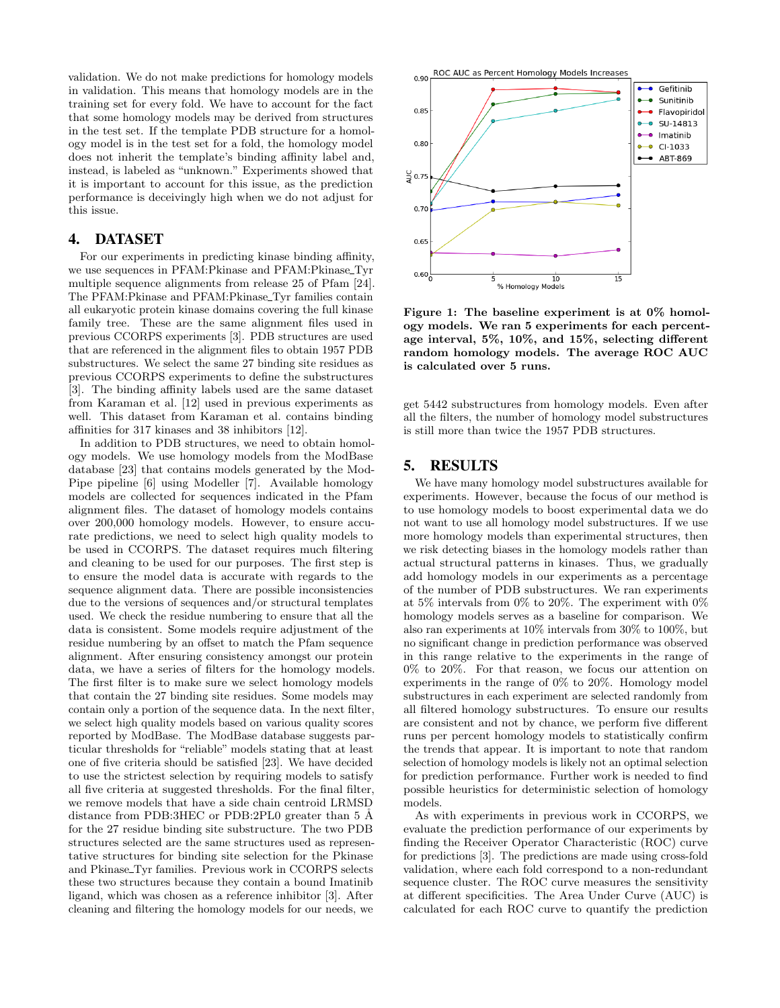validation. We do not make predictions for homology models in validation. This means that homology models are in the training set for every fold. We have to account for the fact that some homology models may be derived from structures in the test set. If the template PDB structure for a homology model is in the test set for a fold, the homology model does not inherit the template's binding affinity label and, instead, is labeled as "unknown." Experiments showed that it is important to account for this issue, as the prediction performance is deceivingly high when we do not adjust for this issue.

#### 4. DATASET

For our experiments in predicting kinase binding affinity, we use sequences in PFAM:Pkinase and PFAM:Pkinase Tyr multiple sequence alignments from release 25 of Pfam [24]. The PFAM:Pkinase and PFAM:Pkinase Tyr families contain all eukaryotic protein kinase domains covering the full kinase family tree. These are the same alignment files used in previous CCORPS experiments [3]. PDB structures are used that are referenced in the alignment files to obtain 1957 PDB substructures. We select the same 27 binding site residues as previous CCORPS experiments to define the substructures [3]. The binding affinity labels used are the same dataset from Karaman et al. [12] used in previous experiments as well. This dataset from Karaman et al. contains binding affinities for 317 kinases and 38 inhibitors [12].

In addition to PDB structures, we need to obtain homology models. We use homology models from the ModBase database [23] that contains models generated by the Mod-Pipe pipeline [6] using Modeller [7]. Available homology models are collected for sequences indicated in the Pfam alignment files. The dataset of homology models contains over 200,000 homology models. However, to ensure accurate predictions, we need to select high quality models to be used in CCORPS. The dataset requires much filtering and cleaning to be used for our purposes. The first step is to ensure the model data is accurate with regards to the sequence alignment data. There are possible inconsistencies due to the versions of sequences and/or structural templates used. We check the residue numbering to ensure that all the data is consistent. Some models require adjustment of the residue numbering by an offset to match the Pfam sequence alignment. After ensuring consistency amongst our protein data, we have a series of filters for the homology models. The first filter is to make sure we select homology models that contain the 27 binding site residues. Some models may contain only a portion of the sequence data. In the next filter, we select high quality models based on various quality scores reported by ModBase. The ModBase database suggests particular thresholds for "reliable" models stating that at least one of five criteria should be satisfied [23]. We have decided to use the strictest selection by requiring models to satisfy all five criteria at suggested thresholds. For the final filter, we remove models that have a side chain centroid LRMSD distance from PDB:3HEC or PDB:2PL0 greater than  $5 \text{ Å}$ for the 27 residue binding site substructure. The two PDB structures selected are the same structures used as representative structures for binding site selection for the Pkinase and Pkinase Tyr families. Previous work in CCORPS selects these two structures because they contain a bound Imatinib ligand, which was chosen as a reference inhibitor [3]. After cleaning and filtering the homology models for our needs, we



Figure 1: The baseline experiment is at 0% homology models. We ran 5 experiments for each percentage interval, 5%, 10%, and 15%, selecting different random homology models. The average ROC AUC is calculated over 5 runs.

get 5442 substructures from homology models. Even after all the filters, the number of homology model substructures is still more than twice the 1957 PDB structures.

#### 5. RESULTS

We have many homology model substructures available for experiments. However, because the focus of our method is to use homology models to boost experimental data we do not want to use all homology model substructures. If we use more homology models than experimental structures, then we risk detecting biases in the homology models rather than actual structural patterns in kinases. Thus, we gradually add homology models in our experiments as a percentage of the number of PDB substructures. We ran experiments at 5% intervals from 0% to 20%. The experiment with 0% homology models serves as a baseline for comparison. We also ran experiments at 10% intervals from 30% to 100%, but no significant change in prediction performance was observed in this range relative to the experiments in the range of 0% to 20%. For that reason, we focus our attention on experiments in the range of 0% to 20%. Homology model substructures in each experiment are selected randomly from all filtered homology substructures. To ensure our results are consistent and not by chance, we perform five different runs per percent homology models to statistically confirm the trends that appear. It is important to note that random selection of homology models is likely not an optimal selection for prediction performance. Further work is needed to find possible heuristics for deterministic selection of homology models.

As with experiments in previous work in CCORPS, we evaluate the prediction performance of our experiments by finding the Receiver Operator Characteristic (ROC) curve for predictions [3]. The predictions are made using cross-fold validation, where each fold correspond to a non-redundant sequence cluster. The ROC curve measures the sensitivity at different specificities. The Area Under Curve (AUC) is calculated for each ROC curve to quantify the prediction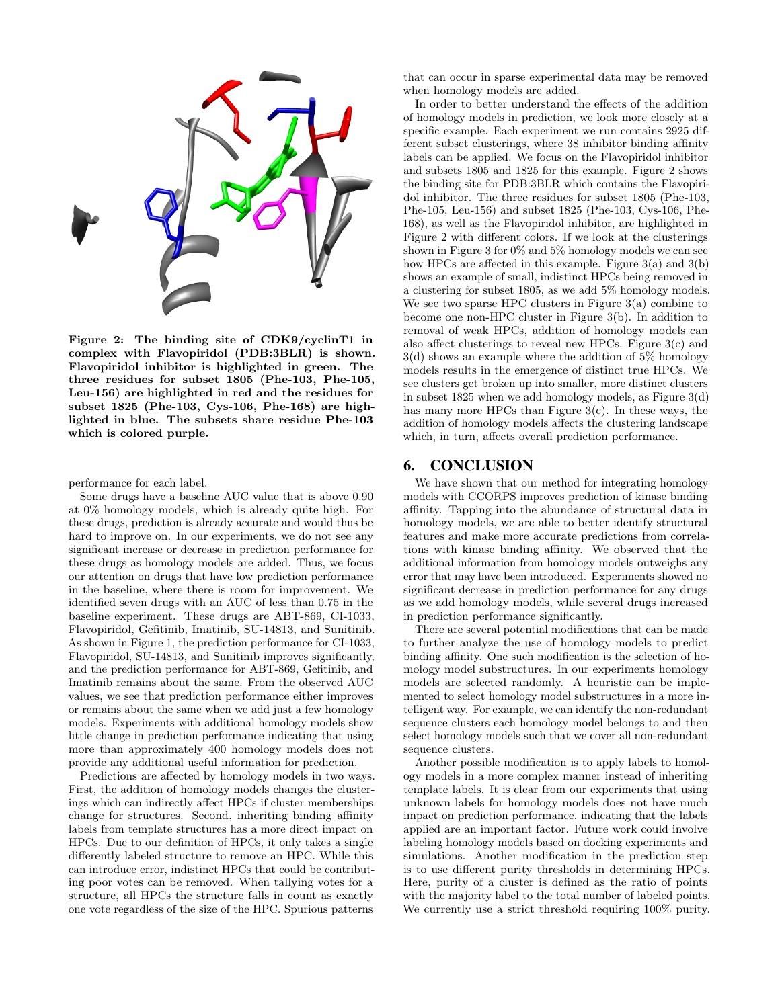

Figure 2: The binding site of CDK9/cyclinT1 in complex with Flavopiridol (PDB:3BLR) is shown. Flavopiridol inhibitor is highlighted in green. The three residues for subset 1805 (Phe-103, Phe-105, Leu-156) are highlighted in red and the residues for subset 1825 (Phe-103, Cys-106, Phe-168) are highlighted in blue. The subsets share residue Phe-103 which is colored purple.

performance for each label.

Some drugs have a baseline AUC value that is above 0.90 at 0% homology models, which is already quite high. For these drugs, prediction is already accurate and would thus be hard to improve on. In our experiments, we do not see any significant increase or decrease in prediction performance for these drugs as homology models are added. Thus, we focus our attention on drugs that have low prediction performance in the baseline, where there is room for improvement. We identified seven drugs with an AUC of less than 0.75 in the baseline experiment. These drugs are ABT-869, CI-1033, Flavopiridol, Gefitinib, Imatinib, SU-14813, and Sunitinib. As shown in Figure 1, the prediction performance for CI-1033, Flavopiridol, SU-14813, and Sunitinib improves significantly, and the prediction performance for ABT-869, Gefitinib, and Imatinib remains about the same. From the observed AUC values, we see that prediction performance either improves or remains about the same when we add just a few homology models. Experiments with additional homology models show little change in prediction performance indicating that using more than approximately 400 homology models does not provide any additional useful information for prediction.

Predictions are affected by homology models in two ways. First, the addition of homology models changes the clusterings which can indirectly affect HPCs if cluster memberships change for structures. Second, inheriting binding affinity labels from template structures has a more direct impact on HPCs. Due to our definition of HPCs, it only takes a single differently labeled structure to remove an HPC. While this can introduce error, indistinct HPCs that could be contributing poor votes can be removed. When tallying votes for a structure, all HPCs the structure falls in count as exactly one vote regardless of the size of the HPC. Spurious patterns

that can occur in sparse experimental data may be removed when homology models are added.

In order to better understand the effects of the addition of homology models in prediction, we look more closely at a specific example. Each experiment we run contains 2925 different subset clusterings, where 38 inhibitor binding affinity labels can be applied. We focus on the Flavopiridol inhibitor and subsets 1805 and 1825 for this example. Figure 2 shows the binding site for PDB:3BLR which contains the Flavopiridol inhibitor. The three residues for subset 1805 (Phe-103, Phe-105, Leu-156) and subset 1825 (Phe-103, Cys-106, Phe-168), as well as the Flavopiridol inhibitor, are highlighted in Figure 2 with different colors. If we look at the clusterings shown in Figure 3 for 0% and 5% homology models we can see how HPCs are affected in this example. Figure  $3(a)$  and  $3(b)$ shows an example of small, indistinct HPCs being removed in a clustering for subset 1805, as we add 5% homology models. We see two sparse HPC clusters in Figure 3(a) combine to become one non-HPC cluster in Figure 3(b). In addition to removal of weak HPCs, addition of homology models can also affect clusterings to reveal new HPCs. Figure 3(c) and 3(d) shows an example where the addition of 5% homology models results in the emergence of distinct true HPCs. We see clusters get broken up into smaller, more distinct clusters in subset 1825 when we add homology models, as Figure 3(d) has many more HPCs than Figure 3(c). In these ways, the addition of homology models affects the clustering landscape which, in turn, affects overall prediction performance.

# 6. CONCLUSION

We have shown that our method for integrating homology models with CCORPS improves prediction of kinase binding affinity. Tapping into the abundance of structural data in homology models, we are able to better identify structural features and make more accurate predictions from correlations with kinase binding affinity. We observed that the additional information from homology models outweighs any error that may have been introduced. Experiments showed no significant decrease in prediction performance for any drugs as we add homology models, while several drugs increased in prediction performance significantly.

There are several potential modifications that can be made to further analyze the use of homology models to predict binding affinity. One such modification is the selection of homology model substructures. In our experiments homology models are selected randomly. A heuristic can be implemented to select homology model substructures in a more intelligent way. For example, we can identify the non-redundant sequence clusters each homology model belongs to and then select homology models such that we cover all non-redundant sequence clusters.

Another possible modification is to apply labels to homology models in a more complex manner instead of inheriting template labels. It is clear from our experiments that using unknown labels for homology models does not have much impact on prediction performance, indicating that the labels applied are an important factor. Future work could involve labeling homology models based on docking experiments and simulations. Another modification in the prediction step is to use different purity thresholds in determining HPCs. Here, purity of a cluster is defined as the ratio of points with the majority label to the total number of labeled points. We currently use a strict threshold requiring 100% purity.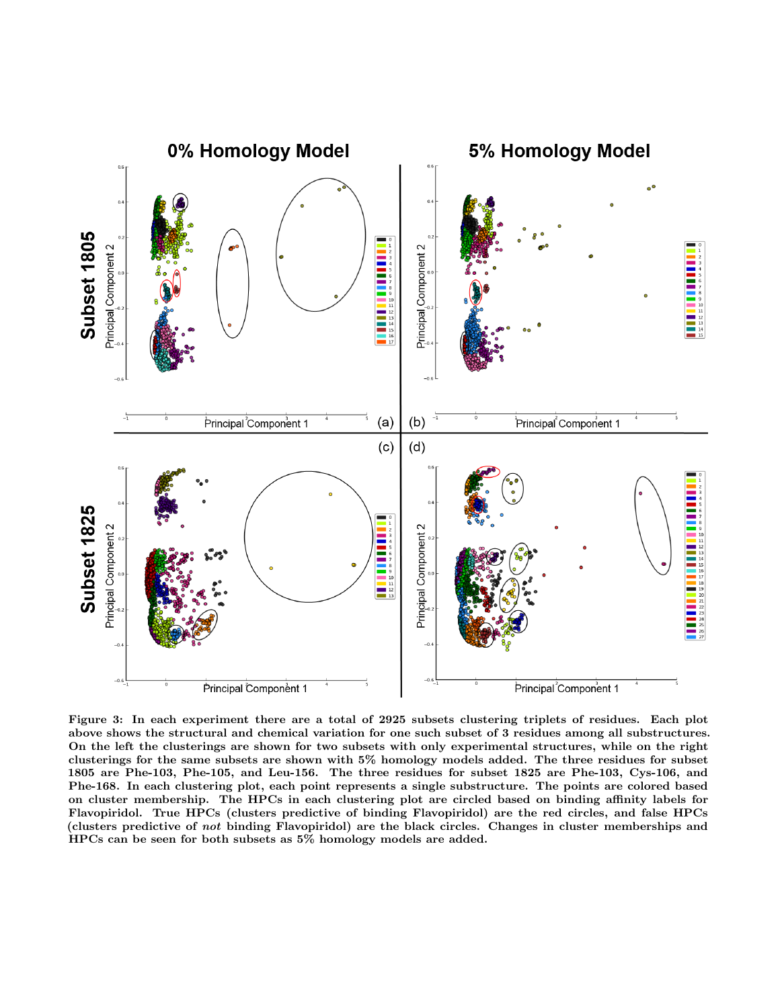

Figure 3: In each experiment there are a total of 2925 subsets clustering triplets of residues. Each plot above shows the structural and chemical variation for one such subset of 3 residues among all substructures. On the left the clusterings are shown for two subsets with only experimental structures, while on the right clusterings for the same subsets are shown with 5% homology models added. The three residues for subset 1805 are Phe-103, Phe-105, and Leu-156. The three residues for subset 1825 are Phe-103, Cys-106, and Phe-168. In each clustering plot, each point represents a single substructure. The points are colored based on cluster membership. The HPCs in each clustering plot are circled based on binding affinity labels for Flavopiridol. True HPCs (clusters predictive of binding Flavopiridol) are the red circles, and false HPCs (clusters predictive of not binding Flavopiridol) are the black circles. Changes in cluster memberships and HPCs can be seen for both subsets as 5% homology models are added.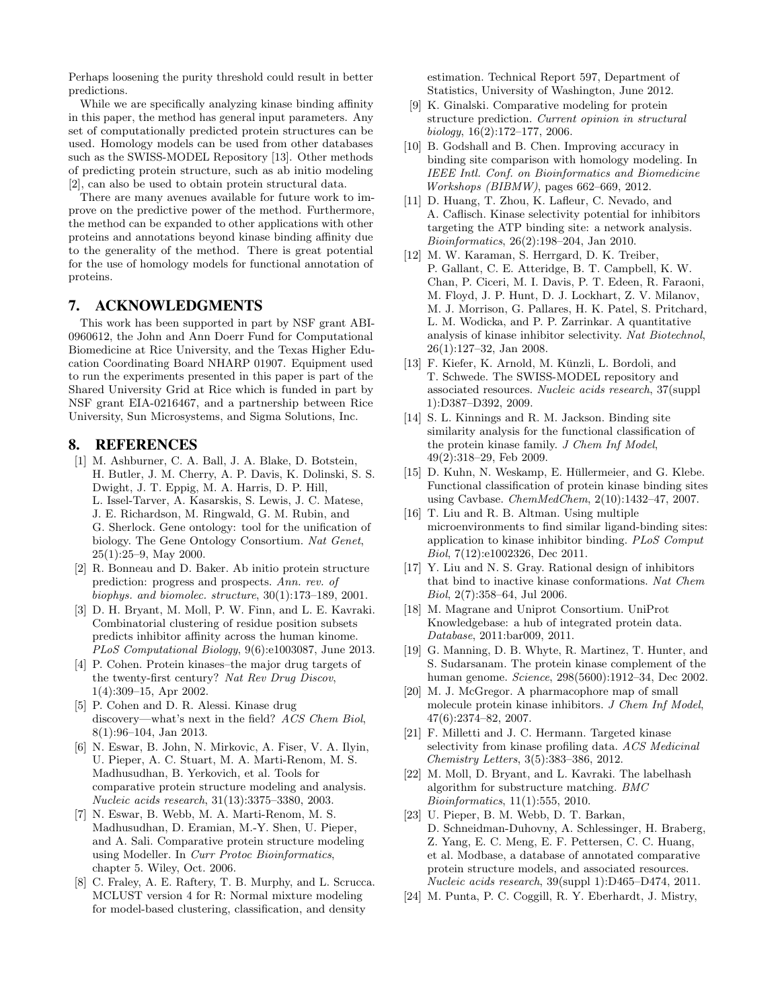Perhaps loosening the purity threshold could result in better predictions.

While we are specifically analyzing kinase binding affinity in this paper, the method has general input parameters. Any set of computationally predicted protein structures can be used. Homology models can be used from other databases such as the SWISS-MODEL Repository [13]. Other methods of predicting protein structure, such as ab initio modeling [2], can also be used to obtain protein structural data.

There are many avenues available for future work to improve on the predictive power of the method. Furthermore, the method can be expanded to other applications with other proteins and annotations beyond kinase binding affinity due to the generality of the method. There is great potential for the use of homology models for functional annotation of proteins.

## 7. ACKNOWLEDGMENTS

This work has been supported in part by NSF grant ABI-0960612, the John and Ann Doerr Fund for Computational Biomedicine at Rice University, and the Texas Higher Education Coordinating Board NHARP 01907. Equipment used to run the experiments presented in this paper is part of the Shared University Grid at Rice which is funded in part by NSF grant EIA-0216467, and a partnership between Rice University, Sun Microsystems, and Sigma Solutions, Inc.

## 8. REFERENCES

- [1] M. Ashburner, C. A. Ball, J. A. Blake, D. Botstein, H. Butler, J. M. Cherry, A. P. Davis, K. Dolinski, S. S. Dwight, J. T. Eppig, M. A. Harris, D. P. Hill, L. Issel-Tarver, A. Kasarskis, S. Lewis, J. C. Matese, J. E. Richardson, M. Ringwald, G. M. Rubin, and G. Sherlock. Gene ontology: tool for the unification of biology. The Gene Ontology Consortium. Nat Genet, 25(1):25–9, May 2000.
- [2] R. Bonneau and D. Baker. Ab initio protein structure prediction: progress and prospects. Ann. rev. of biophys. and biomolec. structure, 30(1):173–189, 2001.
- [3] D. H. Bryant, M. Moll, P. W. Finn, and L. E. Kavraki. Combinatorial clustering of residue position subsets predicts inhibitor affinity across the human kinome. PLoS Computational Biology, 9(6):e1003087, June 2013.
- [4] P. Cohen. Protein kinases–the major drug targets of the twenty-first century? Nat Rev Drug Discov, 1(4):309–15, Apr 2002.
- [5] P. Cohen and D. R. Alessi. Kinase drug discovery—what's next in the field? ACS Chem Biol, 8(1):96–104, Jan 2013.
- [6] N. Eswar, B. John, N. Mirkovic, A. Fiser, V. A. Ilyin, U. Pieper, A. C. Stuart, M. A. Marti-Renom, M. S. Madhusudhan, B. Yerkovich, et al. Tools for comparative protein structure modeling and analysis. Nucleic acids research, 31(13):3375–3380, 2003.
- [7] N. Eswar, B. Webb, M. A. Marti-Renom, M. S. Madhusudhan, D. Eramian, M.-Y. Shen, U. Pieper, and A. Sali. Comparative protein structure modeling using Modeller. In Curr Protoc Bioinformatics, chapter 5. Wiley, Oct. 2006.
- [8] C. Fraley, A. E. Raftery, T. B. Murphy, and L. Scrucca. MCLUST version 4 for R: Normal mixture modeling for model-based clustering, classification, and density

estimation. Technical Report 597, Department of Statistics, University of Washington, June 2012.

- [9] K. Ginalski. Comparative modeling for protein structure prediction. Current opinion in structural biology, 16(2):172–177, 2006.
- [10] B. Godshall and B. Chen. Improving accuracy in binding site comparison with homology modeling. In IEEE Intl. Conf. on Bioinformatics and Biomedicine Workshops (BIBMW), pages 662–669, 2012.
- [11] D. Huang, T. Zhou, K. Lafleur, C. Nevado, and A. Caflisch. Kinase selectivity potential for inhibitors targeting the ATP binding site: a network analysis. Bioinformatics, 26(2):198–204, Jan 2010.
- [12] M. W. Karaman, S. Herrgard, D. K. Treiber, P. Gallant, C. E. Atteridge, B. T. Campbell, K. W. Chan, P. Ciceri, M. I. Davis, P. T. Edeen, R. Faraoni, M. Floyd, J. P. Hunt, D. J. Lockhart, Z. V. Milanov, M. J. Morrison, G. Pallares, H. K. Patel, S. Pritchard, L. M. Wodicka, and P. P. Zarrinkar. A quantitative analysis of kinase inhibitor selectivity. Nat Biotechnol, 26(1):127–32, Jan 2008.
- [13] F. Kiefer, K. Arnold, M. Künzli, L. Bordoli, and T. Schwede. The SWISS-MODEL repository and associated resources. Nucleic acids research, 37(suppl 1):D387–D392, 2009.
- [14] S. L. Kinnings and R. M. Jackson. Binding site similarity analysis for the functional classification of the protein kinase family. J Chem Inf Model, 49(2):318–29, Feb 2009.
- [15] D. Kuhn, N. Weskamp, E. Hüllermeier, and G. Klebe. Functional classification of protein kinase binding sites using Cavbase. ChemMedChem, 2(10):1432–47, 2007.
- [16] T. Liu and R. B. Altman. Using multiple microenvironments to find similar ligand-binding sites: application to kinase inhibitor binding. PLoS Comput Biol, 7(12):e1002326, Dec 2011.
- [17] Y. Liu and N. S. Gray. Rational design of inhibitors that bind to inactive kinase conformations. Nat Chem Biol, 2(7):358–64, Jul 2006.
- [18] M. Magrane and Uniprot Consortium. UniProt Knowledgebase: a hub of integrated protein data. Database, 2011:bar009, 2011.
- [19] G. Manning, D. B. Whyte, R. Martinez, T. Hunter, and S. Sudarsanam. The protein kinase complement of the human genome. Science, 298(5600):1912–34, Dec 2002.
- [20] M. J. McGregor. A pharmacophore map of small molecule protein kinase inhibitors. J Chem Inf Model, 47(6):2374–82, 2007.
- [21] F. Milletti and J. C. Hermann. Targeted kinase selectivity from kinase profiling data. ACS Medicinal Chemistry Letters, 3(5):383–386, 2012.
- [22] M. Moll, D. Bryant, and L. Kavraki. The labelhash algorithm for substructure matching. BMC Bioinformatics, 11(1):555, 2010.
- [23] U. Pieper, B. M. Webb, D. T. Barkan, D. Schneidman-Duhovny, A. Schlessinger, H. Braberg, Z. Yang, E. C. Meng, E. F. Pettersen, C. C. Huang, et al. Modbase, a database of annotated comparative protein structure models, and associated resources. Nucleic acids research, 39(suppl 1):D465–D474, 2011.
- [24] M. Punta, P. C. Coggill, R. Y. Eberhardt, J. Mistry,